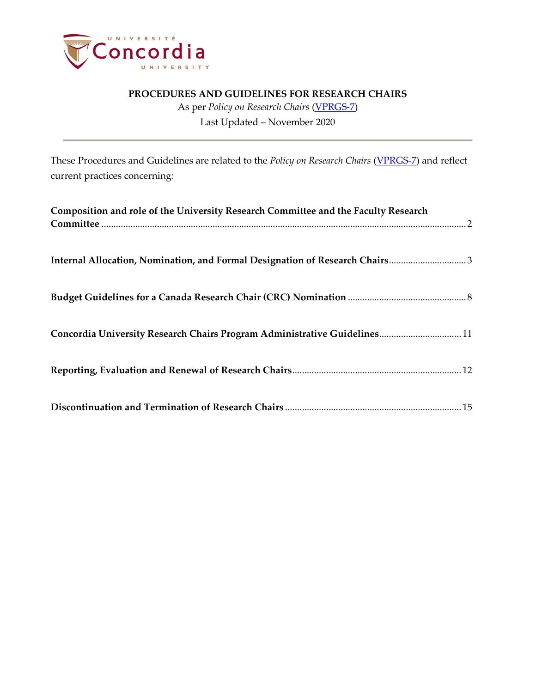

As per *Policy on Research Chairs* [\(VPRGS-7\)](https://www.concordia.ca/content/dam/common/docs/policies/official-policies/VPRGS-7.pdf) Last Updated – November 2020

These Procedures and Guidelines are related to the *Policy on Research Chairs* [\(VPRGS-7\)](https://www.concordia.ca/content/dam/common/docs/policies/official-policies/VPRGS-7.pdf) and reflect current practices concerning*:*

| Composition and role of the University Research Committee and the Faculty Research |
|------------------------------------------------------------------------------------|
| Internal Allocation, Nomination, and Formal Designation of Research Chairs3        |
|                                                                                    |
| Concordia University Research Chairs Program Administrative Guidelines 11          |
|                                                                                    |
|                                                                                    |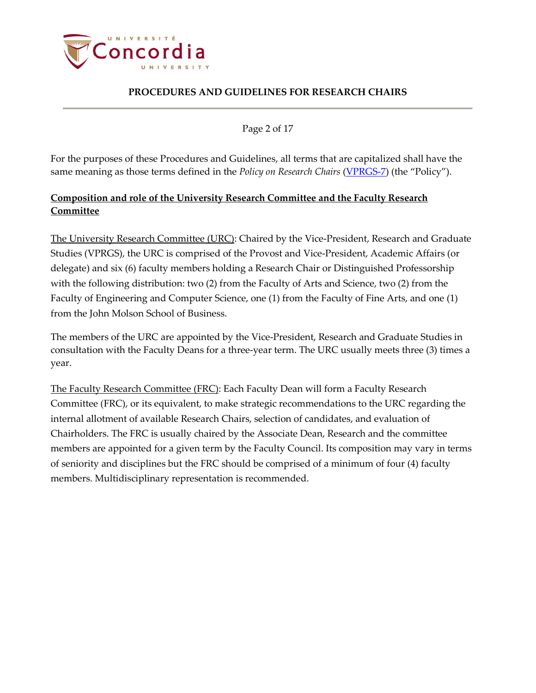

Page 2 of 17

<span id="page-1-0"></span>For the purposes of these Procedures and Guidelines, all terms that are capitalized shall have the same meaning as those terms defined in the *Policy on Research Chairs* [\(VPRGS-7\)](https://www.concordia.ca/content/dam/common/docs/policies/official-policies/VPRGS-7.pdf) (the "Policy").

# **Composition and role of the University Research Committee and the Faculty Research Committee**

The University Research Committee (URC): Chaired by the Vice-President, Research and Graduate Studies (VPRGS), the URC is comprised of the Provost and Vice-President, Academic Affairs (or delegate) and six (6) faculty members holding a Research Chair or Distinguished Professorship with the following distribution: two (2) from the Faculty of Arts and Science, two (2) from the Faculty of Engineering and Computer Science, one (1) from the Faculty of Fine Arts, and one (1) from the John Molson School of Business.

The members of the URC are appointed by the Vice-President, Research and Graduate Studies in consultation with the Faculty Deans for a three-year term. The URC usually meets three (3) times a year.

<span id="page-1-1"></span>The Faculty Research Committee (FRC): Each Faculty Dean will form a Faculty Research Committee (FRC), or its equivalent, to make strategic recommendations to the URC regarding the internal allotment of available Research Chairs, selection of candidates, and evaluation of Chairholders. The FRC is usually chaired by the Associate Dean, Research and the committee members are appointed for a given term by the Faculty Council. Its composition may vary in terms of seniority and disciplines but the FRC should be comprised of a minimum of four (4) faculty members. Multidisciplinary representation is recommended.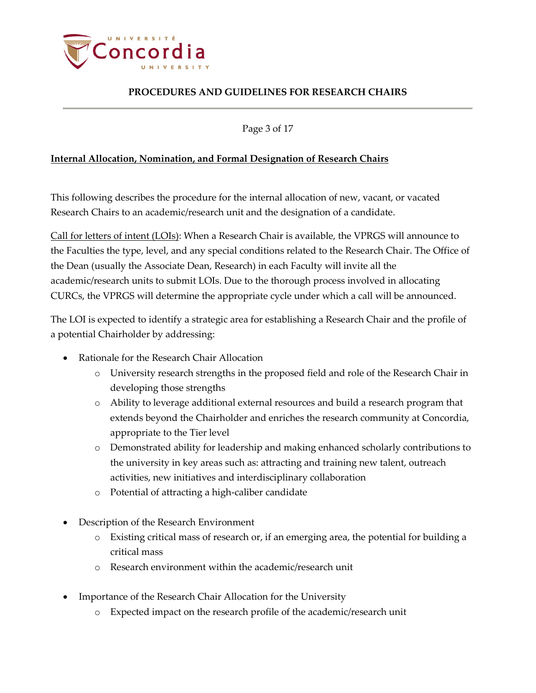

Page 3 of 17

### **Internal Allocation, Nomination, and Formal Designation of Research Chairs**

This following describes the procedure for the internal allocation of new, vacant, or vacated Research Chairs to an academic/research unit and the designation of a candidate.

Call for letters of intent (LOIs): When a Research Chair is available, the VPRGS will announce to the Faculties the type, level, and any special conditions related to the Research Chair. The Office of the Dean (usually the Associate Dean, Research) in each Faculty will invite all the academic/research units to submit LOIs. Due to the thorough process involved in allocating CURCs, the VPRGS will determine the appropriate cycle under which a call will be announced.

The LOI is expected to identify a strategic area for establishing a Research Chair and the profile of a potential Chairholder by addressing:

- Rationale for the Research Chair Allocation
	- o University research strengths in the proposed field and role of the Research Chair in developing those strengths
	- o Ability to leverage additional external resources and build a research program that extends beyond the Chairholder and enriches the research community at Concordia, appropriate to the Tier level
	- o Demonstrated ability for leadership and making enhanced scholarly contributions to the university in key areas such as: attracting and training new talent, outreach activities, new initiatives and interdisciplinary collaboration
	- o Potential of attracting a high-caliber candidate
- Description of the Research Environment
	- o Existing critical mass of research or, if an emerging area, the potential for building a critical mass
	- o Research environment within the academic/research unit
- Importance of the Research Chair Allocation for the University
	- o Expected impact on the research profile of the academic/research unit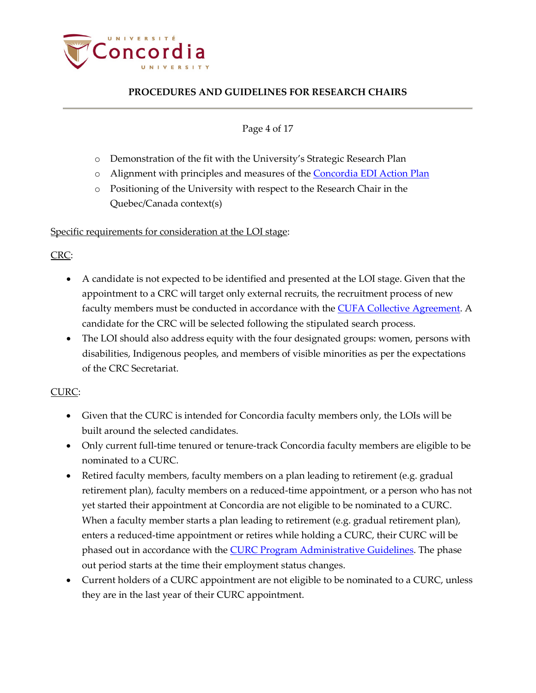

### Page 4 of 17

- o Demonstration of the fit with the University's Strategic Research Plan
- o Alignment with principles and measures of the [Concordia EDI Action Plan](https://www.concordia.ca/content/dam/research/docs/CRC/EDI-Action-Plan_approved.pdf)
- o Positioning of the University with respect to the Research Chair in the Quebec/Canada context(s)

### Specific requirements for consideration at the LOI stage:

### [CRC:](http://www.chairs-chaires.gc.ca/home-accueil-eng.aspx)

- A candidate is not expected to be identified and presented at the LOI stage. Given that the appointment to a CRC will target only external recruits, the recruitment process of new faculty members must be conducted in accordance with the [CUFA Collective Agreement.](https://www.concordia.ca/content/dam/concordia/services/hr/docs/agreements/20190415%20ENG%20CUFA%202018-2021%20C.A.%20with%20signatures.pdf) A candidate for the CRC will be selected following the stipulated search process.
- The LOI should also address equity with the four designated groups: women, persons with disabilities, Indigenous peoples, and members of visible minorities as per the expectations of the CRC Secretariat.

## CURC:

- Given that the CURC is intended for Concordia faculty members only, the LOIs will be built around the selected candidates.
- Only current full-time tenured or tenure-track Concordia faculty members are eligible to be nominated to a CURC.
- Retired faculty members, faculty members on a plan leading to retirement (e.g. gradual retirement plan), faculty members on a reduced-time appointment, or a person who has not yet started their appointment at Concordia are not eligible to be nominated to a CURC. When a faculty member starts a plan leading to retirement (e.g. gradual retirement plan), enters a reduced-time appointment or retires while holding a CURC, their CURC will be phased out in accordance with the [CURC Program Administrative Guidelines.](https://www.concordia.ca/content/dam/research/docs/curc-program-administrative-guidelines.pdf) The phase out period starts at the time their employment status changes.
- Current holders of a CURC appointment are not eligible to be nominated to a CURC, unless they are in the last year of their CURC appointment.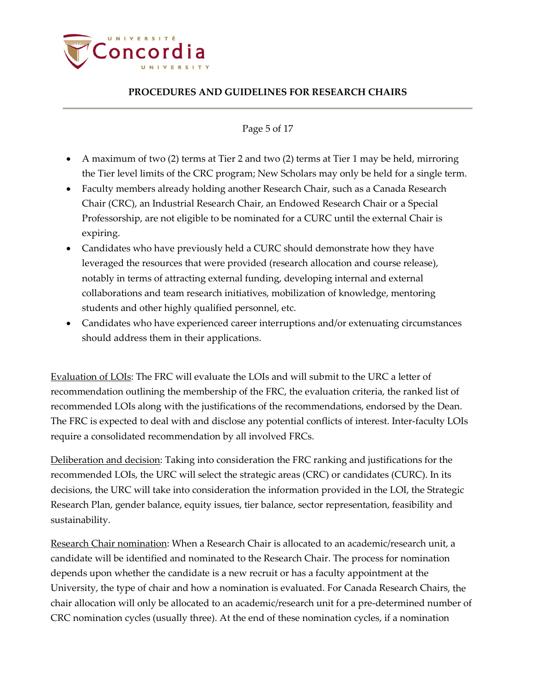

#### Page 5 of 17

- A maximum of two (2) terms at Tier 2 and two (2) terms at Tier 1 may be held, mirroring the Tier level limits of the CRC program; New Scholars may only be held for a single term.
- Faculty members already holding another Research Chair, such as a Canada Research Chair (CRC), an Industrial Research Chair, an Endowed Research Chair or a Special Professorship, are not eligible to be nominated for a CURC until the external Chair is expiring.
- Candidates who have previously held a CURC should demonstrate how they have leveraged the resources that were provided (research allocation and course release), notably in terms of attracting external funding, developing internal and external collaborations and team research initiatives, mobilization of knowledge, mentoring students and other highly qualified personnel, etc.
- Candidates who have experienced career interruptions and/or extenuating circumstances should address them in their applications.

Evaluation of LOIs: The FRC will evaluate the LOIs and will submit to the URC a letter of recommendation outlining the membership of the FRC, the evaluation criteria, the ranked list of recommended LOIs along with the justifications of the recommendations, endorsed by the Dean. The FRC is expected to deal with and disclose any potential conflicts of interest. Inter-faculty LOIs require a consolidated recommendation by all involved FRCs.

Deliberation and decision: Taking into consideration the FRC ranking and justifications for the recommended LOIs, the URC will select the strategic areas (CRC) or candidates (CURC). In its decisions, the URC will take into consideration the information provided in the LOI, the Strategic Research Plan, gender balance, equity issues, tier balance, sector representation, feasibility and sustainability.

Research Chair nomination: When a Research Chair is allocated to an academic/research unit, a candidate will be identified and nominated to the Research Chair. The process for nomination depends upon whether the candidate is a new recruit or has a faculty appointment at the University, the type of chair and how a nomination is evaluated. For Canada Research Chairs, the chair allocation will only be allocated to an academic/research unit for a pre-determined number of CRC nomination cycles (usually three). At the end of these nomination cycles, if a nomination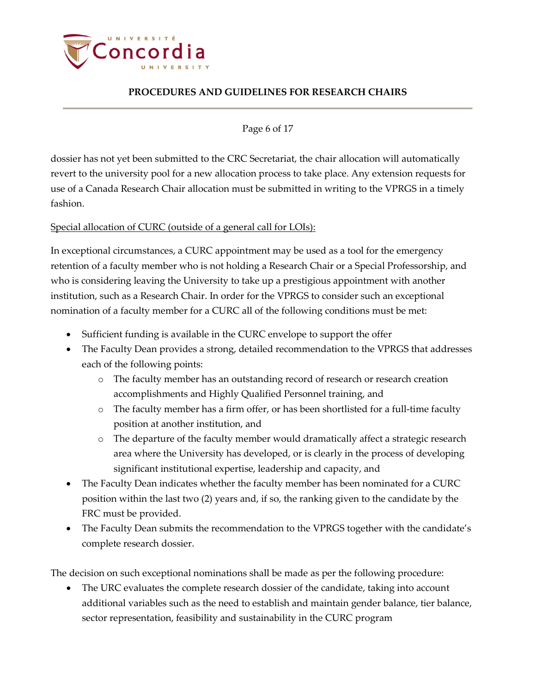

Page 6 of 17

dossier has not yet been submitted to the CRC Secretariat, the chair allocation will automatically revert to the university pool for a new allocation process to take place. Any extension requests for use of a Canada Research Chair allocation must be submitted in writing to the VPRGS in a timely fashion.

## Special allocation of CURC (outside of a general call for LOIs):

In exceptional circumstances, a CURC appointment may be used as a tool for the emergency retention of a faculty member who is not holding a Research Chair or a Special Professorship, and who is considering leaving the University to take up a prestigious appointment with another institution, such as a Research Chair. In order for the VPRGS to consider such an exceptional nomination of a faculty member for a CURC all of the following conditions must be met:

- Sufficient funding is available in the CURC envelope to support the offer
- The Faculty Dean provides a strong, detailed recommendation to the VPRGS that addresses each of the following points:
	- o The faculty member has an outstanding record of research or research creation accomplishments and Highly Qualified Personnel training, and
	- o The faculty member has a firm offer, or has been shortlisted for a full-time faculty position at another institution, and
	- o The departure of the faculty member would dramatically affect a strategic research area where the University has developed, or is clearly in the process of developing significant institutional expertise, leadership and capacity, and
- The Faculty Dean indicates whether the faculty member has been nominated for a CURC position within the last two (2) years and, if so, the ranking given to the candidate by the FRC must be provided.
- The Faculty Dean submits the recommendation to the VPRGS together with the candidate's complete research dossier.

The decision on such exceptional nominations shall be made as per the following procedure:

• The URC evaluates the complete research dossier of the candidate, taking into account additional variables such as the need to establish and maintain gender balance, tier balance, sector representation, feasibility and sustainability in the CURC program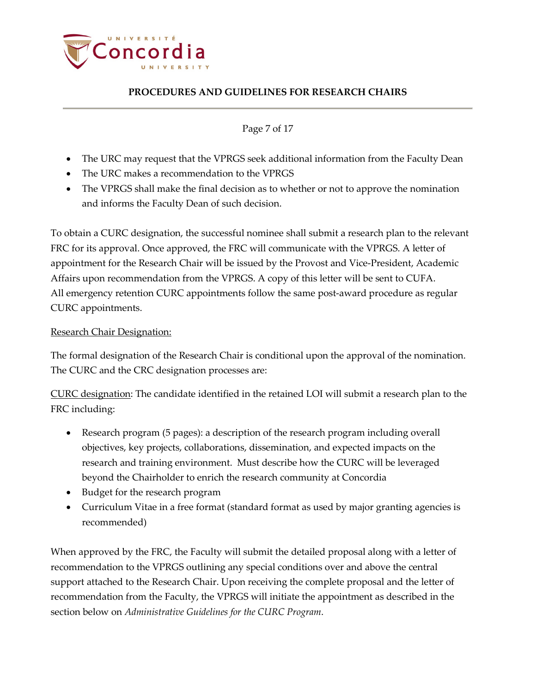

Page 7 of 17

- The URC may request that the VPRGS seek additional information from the Faculty Dean
- The URC makes a recommendation to the VPRGS
- The VPRGS shall make the final decision as to whether or not to approve the nomination and informs the Faculty Dean of such decision.

To obtain a CURC designation, the successful nominee shall submit a research plan to the relevant FRC for its approval. Once approved, the FRC will communicate with the VPRGS. A letter of appointment for the Research Chair will be issued by the Provost and Vice-President, Academic Affairs upon recommendation from the VPRGS. A copy of this letter will be sent to CUFA. All emergency retention CURC appointments follow the same post-award procedure as regular CURC appointments.

### Research Chair Designation:

The formal designation of the Research Chair is conditional upon the approval of the nomination. The CURC and the CRC designation processes are:

CURC designation: The candidate identified in the retained LOI will submit a research plan to the FRC including:

- Research program (5 pages): a description of the research program including overall objectives, key projects, collaborations, dissemination, and expected impacts on the research and training environment. Must describe how the CURC will be leveraged beyond the Chairholder to enrich the research community at Concordia
- Budget for the research program
- Curriculum Vitae in a free format (standard format as used by major granting agencies is recommended)

When approved by the FRC, the Faculty will submit the detailed proposal along with a letter of recommendation to the VPRGS outlining any special conditions over and above the central support attached to the Research Chair. Upon receiving the complete proposal and the letter of recommendation from the Faculty, the VPRGS will initiate the appointment as described in the section below on *Administrative Guidelines for the CURC Program*.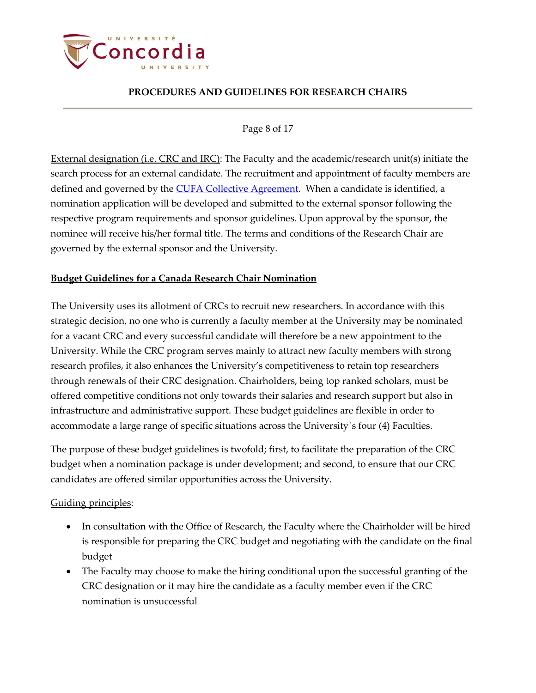

#### Page 8 of 17

External designation (i.e. CRC and IRC): The Faculty and the academic/research unit(s) initiate the search process for an external candidate. The recruitment and appointment of faculty members are defined and governed by the [CUFA Collective Agreement.](https://www.concordia.ca/content/dam/concordia/services/hr/docs/agreements/20190415%20ENG%20CUFA%202018-2021%20C.A.%20with%20signatures.pdf) When a candidate is identified, a nomination application will be developed and submitted to the external sponsor following the respective program requirements and sponsor guidelines. Upon approval by the sponsor, the nominee will receive his/her formal title. The terms and conditions of the Research Chair are governed by the external sponsor and the University.

## <span id="page-7-0"></span>**Budget Guidelines for a Canada Research Chair Nomination**

The University uses its allotment of CRCs to recruit new researchers. In accordance with this strategic decision, no one who is currently a faculty member at the University may be nominated for a vacant CRC and every successful candidate will therefore be a new appointment to the University. While the CRC program serves mainly to attract new faculty members with strong research profiles, it also enhances the University's competitiveness to retain top researchers through renewals of their CRC designation. Chairholders, being top ranked scholars, must be offered competitive conditions not only towards their salaries and research support but also in infrastructure and administrative support. These budget guidelines are flexible in order to accommodate a large range of specific situations across the University`s four (4) Faculties.

The purpose of these budget guidelines is twofold; first, to facilitate the preparation of the CRC budget when a nomination package is under development; and second, to ensure that our CRC candidates are offered similar opportunities across the University.

## Guiding principles:

- In consultation with the Office of Research, the Faculty where the Chairholder will be hired is responsible for preparing the CRC budget and negotiating with the candidate on the final budget
- The Faculty may choose to make the hiring conditional upon the successful granting of the CRC designation or it may hire the candidate as a faculty member even if the CRC nomination is unsuccessful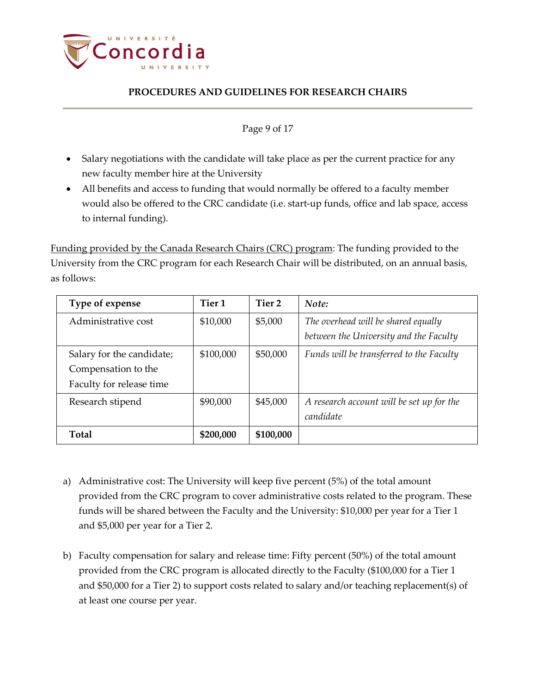

#### Page 9 of 17

- Salary negotiations with the candidate will take place as per the current practice for any new faculty member hire at the University
- All benefits and access to funding that would normally be offered to a faculty member would also be offered to the CRC candidate (i.e. start-up funds, office and lab space, access to internal funding).

Funding provided by the Canada Research Chairs (CRC) program: The funding provided to the University from the CRC program for each Research Chair will be distributed, on an annual basis, as follows:

| Type of expense           | Tier 1    | Tier 2    | Note:                                     |
|---------------------------|-----------|-----------|-------------------------------------------|
| Administrative cost       | \$10,000  | \$5,000   | The overhead will be shared equally       |
|                           |           |           | between the University and the Faculty    |
| Salary for the candidate; | \$100,000 | \$50,000  | Funds will be transferred to the Faculty  |
| Compensation to the       |           |           |                                           |
| Faculty for release time  |           |           |                                           |
| Research stipend          | \$90,000  | \$45,000  | A research account will be set up for the |
|                           |           |           | candidate                                 |
| <b>Total</b>              | \$200,000 | \$100,000 |                                           |

- a) Administrative cost: The University will keep five percent (5%) of the total amount provided from the CRC program to cover administrative costs related to the program. These funds will be shared between the Faculty and the University: \$10,000 per year for a Tier 1 and \$5,000 per year for a Tier 2.
- b) Faculty compensation for salary and release time: Fifty percent (50%) of the total amount provided from the CRC program is allocated directly to the Faculty (\$100,000 for a Tier 1 and \$50,000 for a Tier 2) to support costs related to salary and/or teaching replacement(s) of at least one course per year.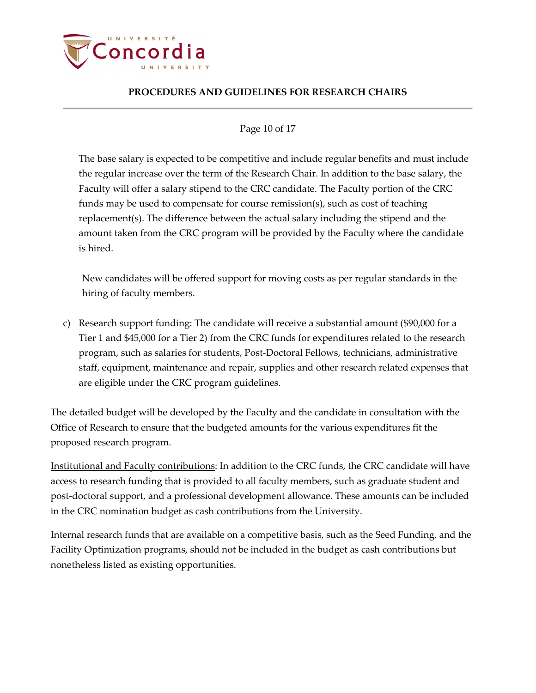

### Page 10 of 17

The base salary is expected to be competitive and include regular benefits and must include the regular increase over the term of the Research Chair. In addition to the base salary, the Faculty will offer a salary stipend to the CRC candidate. The Faculty portion of the CRC funds may be used to compensate for course remission(s), such as cost of teaching replacement(s). The difference between the actual salary including the stipend and the amount taken from the CRC program will be provided by the Faculty where the candidate is hired.

New candidates will be offered support for moving costs as per regular standards in the hiring of faculty members.

c) Research support funding: The candidate will receive a substantial amount (\$90,000 for a Tier 1 and \$45,000 for a Tier 2) from the CRC funds for expenditures related to the research program, such as salaries for students, Post-Doctoral Fellows, technicians, administrative staff, equipment, maintenance and repair, supplies and other research related expenses that are eligible under the CRC program guidelines.

The detailed budget will be developed by the Faculty and the candidate in consultation with the Office of Research to ensure that the budgeted amounts for the various expenditures fit the proposed research program.

Institutional and Faculty contributions: In addition to the CRC funds, the CRC candidate will have access to research funding that is provided to all faculty members, such as graduate student and post-doctoral support, and a professional development allowance. These amounts can be included in the CRC nomination budget as cash contributions from the University.

Internal research funds that are available on a competitive basis, such as the Seed Funding, and the Facility Optimization programs, should not be included in the budget as cash contributions but nonetheless listed as existing opportunities.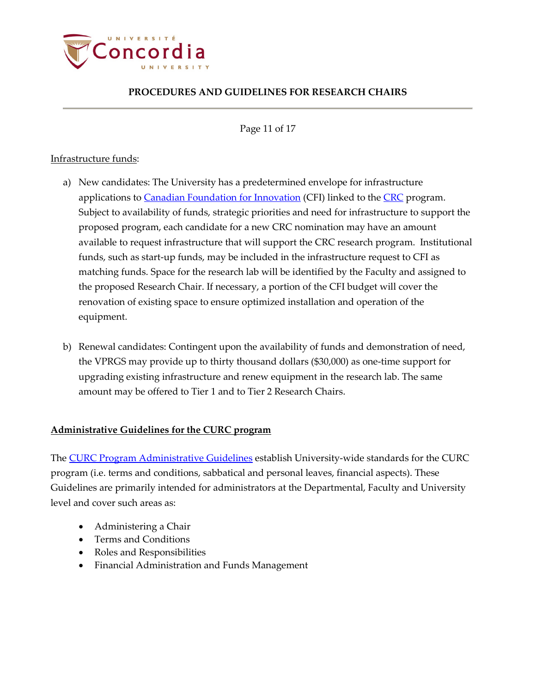

Page 11 of 17

### Infrastructure funds:

- a) New candidates: The University has a predetermined envelope for infrastructure applications to [Canadian Foundation for Innovation](http://www.innovation.ca/) (CFI) linked to the [CRC](http://www.chairs-chaires.gc.ca/home-accueil-eng.aspx) program. Subject to availability of funds, strategic priorities and need for infrastructure to support the proposed program, each candidate for a new CRC nomination may have an amount available to request infrastructure that will support the CRC research program. Institutional funds, such as start-up funds, may be included in the infrastructure request to CFI as matching funds. Space for the research lab will be identified by the Faculty and assigned to the proposed Research Chair. If necessary, a portion of the CFI budget will cover the renovation of existing space to ensure optimized installation and operation of the equipment.
- b) Renewal candidates: Contingent upon the availability of funds and demonstration of need, the VPRGS may provide up to thirty thousand dollars (\$30,000) as one-time support for upgrading existing infrastructure and renew equipment in the research lab. The same amount may be offered to Tier 1 and to Tier 2 Research Chairs.

### <span id="page-10-0"></span>**Administrative Guidelines for the CURC program**

The **CURC Program Administrative Guidelines** establish University-wide standards for the CURC program (i.e. terms and conditions, sabbatical and personal leaves, financial aspects). These Guidelines are primarily intended for administrators at the Departmental, Faculty and University level and cover such areas as:

- Administering a Chair
- Terms and Conditions
- Roles and Responsibilities
- Financial Administration and Funds Management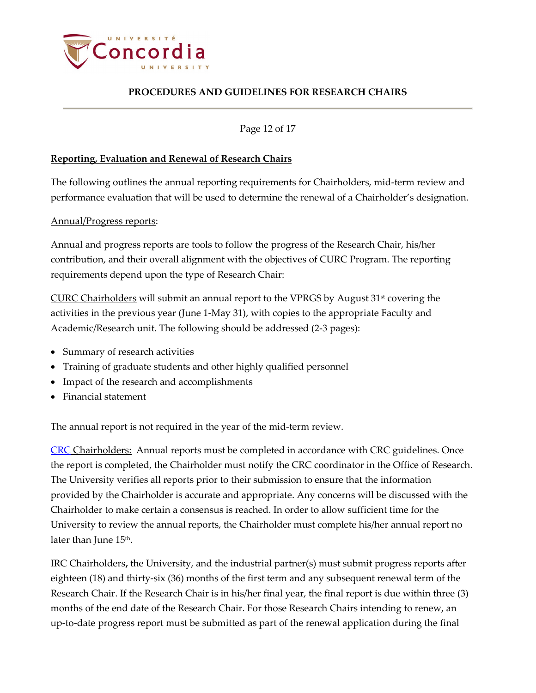

Page 12 of 17

### <span id="page-11-0"></span>**Reporting, Evaluation and Renewal of Research Chairs**

The following outlines the annual reporting requirements for Chairholders, mid-term review and performance evaluation that will be used to determine the renewal of a Chairholder's designation.

Annual/Progress reports:

Annual and progress reports are tools to follow the progress of the Research Chair, his/her contribution, and their overall alignment with the objectives of CURC Program. The reporting requirements depend upon the type of Research Chair:

CURC Chairholders will submit an annual report to the VPRGS by August 31<sup>st</sup> covering the activities in the previous year (June 1-May 31), with copies to the appropriate Faculty and Academic/Research unit. The following should be addressed (2-3 pages):

- Summary of research activities
- Training of graduate students and other highly qualified personnel
- Impact of the research and accomplishments
- Financial statement

The annual report is not required in the year of the mid-term review.

[CRC](http://www.chairs-chaires.gc.ca/home-accueil-eng.aspx) Chairholders: Annual reports must be completed in accordance with CRC guidelines. Once the report is completed, the Chairholder must notify the CRC coordinator in the Office of Research. The University verifies all reports prior to their submission to ensure that the information provided by the Chairholder is accurate and appropriate. Any concerns will be discussed with the Chairholder to make certain a consensus is reached. In order to allow sufficient time for the University to review the annual reports, the Chairholder must complete his/her annual report no later than June 15<sup>th</sup>.

IRC Chairholders**,** the University, and the industrial partner(s) must submit progress reports after eighteen (18) and thirty-six (36) months of the first term and any subsequent renewal term of the Research Chair. If the Research Chair is in his/her final year, the final report is due within three (3) months of the end date of the Research Chair. For those Research Chairs intending to renew, an up-to-date progress report must be submitted as part of the renewal application during the final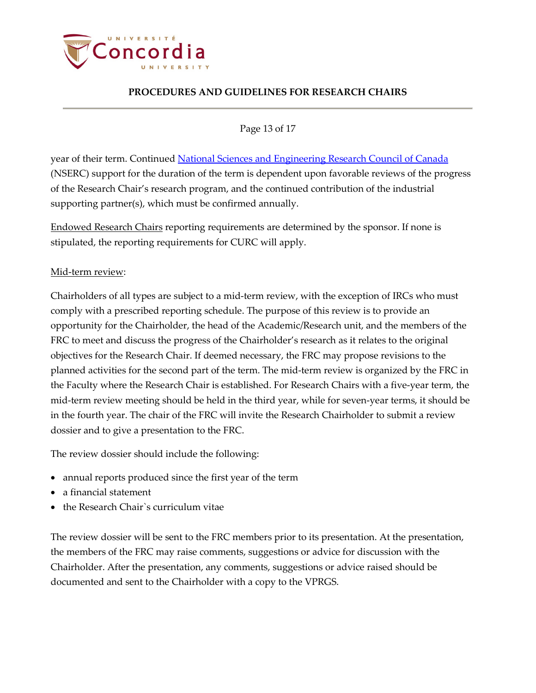

Page 13 of 17

year of their term. Continued [National Sciences and Engineering Research Council of Canada](http://www.nserc-crsng.gc.ca/index_eng.asp) (NSERC) support for the duration of the term is dependent upon favorable reviews of the progress of the Research Chair's research program, and the continued contribution of the industrial supporting partner(s), which must be confirmed annually.

Endowed Research Chairs reporting requirements are determined by the sponsor. If none is stipulated, the reporting requirements for CURC will apply.

## Mid-term review:

Chairholders of all types are subject to a mid-term review, with the exception of IRCs who must comply with a prescribed reporting schedule. The purpose of this review is to provide an opportunity for the Chairholder, the head of the Academic/Research unit, and the members of the FRC to meet and discuss the progress of the Chairholder's research as it relates to the original objectives for the Research Chair. If deemed necessary, the FRC may propose revisions to the planned activities for the second part of the term. The mid-term review is organized by the FRC in the Faculty where the Research Chair is established. For Research Chairs with a five-year term, the mid-term review meeting should be held in the third year, while for seven-year terms, it should be in the fourth year. The chair of the FRC will invite the Research Chairholder to submit a review dossier and to give a presentation to the FRC.

The review dossier should include the following:

- annual reports produced since the first year of the term
- a financial statement
- the Research Chair`s curriculum vitae

The review dossier will be sent to the FRC members prior to its presentation. At the presentation, the members of the FRC may raise comments, suggestions or advice for discussion with the Chairholder. After the presentation, any comments, suggestions or advice raised should be documented and sent to the Chairholder with a copy to the VPRGS.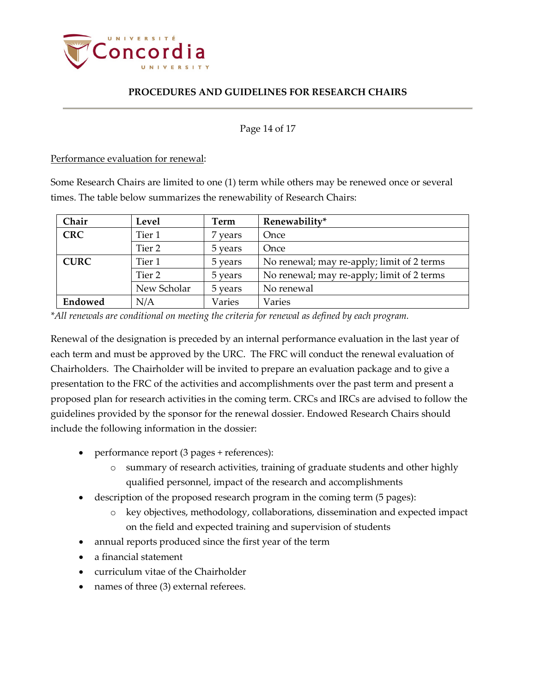

#### Page 14 of 17

Performance evaluation for renewal:

Some Research Chairs are limited to one (1) term while others may be renewed once or several times. The table below summarizes the renewability of Research Chairs:

| Chair       | Level       | Term    | Renewability*                              |
|-------------|-------------|---------|--------------------------------------------|
| <b>CRC</b>  | Tier 1      | 7 years | Once                                       |
|             | Tier 2      | 5 years | Once                                       |
| <b>CURC</b> | Tier 1      | 5 years | No renewal; may re-apply; limit of 2 terms |
|             | Tier 2      | 5 years | No renewal; may re-apply; limit of 2 terms |
|             | New Scholar | 5 years | No renewal                                 |
| Endowed     | N/A         | Varies  | Varies                                     |

*\*All renewals are conditional on meeting the criteria for renewal as defined by each program.*

Renewal of the designation is preceded by an internal performance evaluation in the last year of each term and must be approved by the URC. The FRC will conduct the renewal evaluation of Chairholders. The Chairholder will be invited to prepare an evaluation package and to give a presentation to the FRC of the activities and accomplishments over the past term and present a proposed plan for research activities in the coming term. CRCs and IRCs are advised to follow the guidelines provided by the sponsor for the renewal dossier. Endowed Research Chairs should include the following information in the dossier:

- performance report (3 pages + references):
	- o summary of research activities, training of graduate students and other highly qualified personnel, impact of the research and accomplishments
- description of the proposed research program in the coming term (5 pages):
	- o key objectives, methodology, collaborations, dissemination and expected impact on the field and expected training and supervision of students
- annual reports produced since the first year of the term
- a financial statement
- curriculum vitae of the Chairholder
- names of three (3) external referees.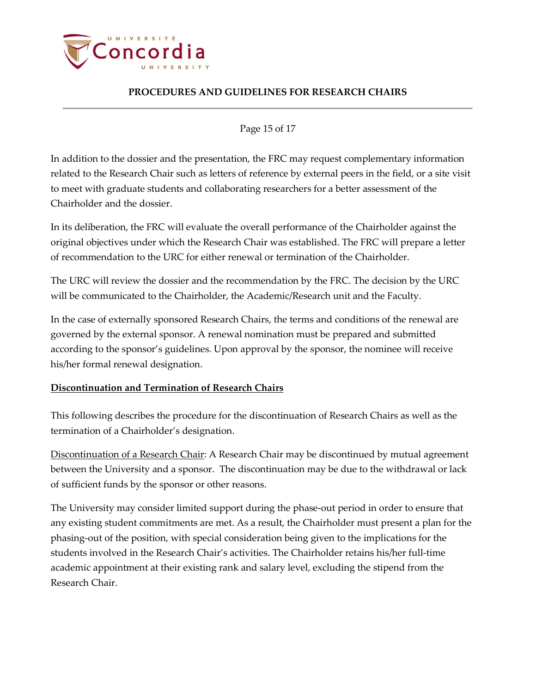

Page 15 of 17

In addition to the dossier and the presentation, the FRC may request complementary information related to the Research Chair such as letters of reference by external peers in the field, or a site visit to meet with graduate students and collaborating researchers for a better assessment of the Chairholder and the dossier.

In its deliberation, the FRC will evaluate the overall performance of the Chairholder against the original objectives under which the Research Chair was established. The FRC will prepare a letter of recommendation to the URC for either renewal or termination of the Chairholder.

The URC will review the dossier and the recommendation by the FRC. The decision by the URC will be communicated to the Chairholder, the Academic/Research unit and the Faculty.

In the case of externally sponsored Research Chairs, the terms and conditions of the renewal are governed by the external sponsor. A renewal nomination must be prepared and submitted according to the sponsor's guidelines. Upon approval by the sponsor, the nominee will receive his/her formal renewal designation.

## <span id="page-14-0"></span>**Discontinuation and Termination of Research Chairs**

This following describes the procedure for the discontinuation of Research Chairs as well as the termination of a Chairholder's designation.

Discontinuation of a Research Chair: A Research Chair may be discontinued by mutual agreement between the University and a sponsor. The discontinuation may be due to the withdrawal or lack of sufficient funds by the sponsor or other reasons.

The University may consider limited support during the phase-out period in order to ensure that any existing student commitments are met. As a result, the Chairholder must present a plan for the phasing-out of the position, with special consideration being given to the implications for the students involved in the Research Chair's activities. The Chairholder retains his/her full-time academic appointment at their existing rank and salary level, excluding the stipend from the Research Chair.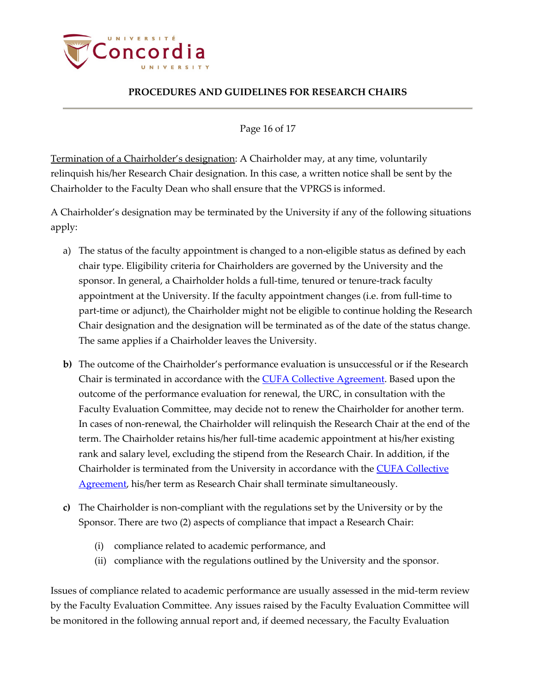

Page 16 of 17

Termination of a Chairholder's designation: A Chairholder may, at any time, voluntarily relinquish his/her Research Chair designation. In this case, a written notice shall be sent by the Chairholder to the Faculty Dean who shall ensure that the VPRGS is informed.

A Chairholder's designation may be terminated by the University if any of the following situations apply:

- a) The status of the faculty appointment is changed to a non-eligible status as defined by each chair type. Eligibility criteria for Chairholders are governed by the University and the sponsor. In general, a Chairholder holds a full-time, tenured or tenure-track faculty appointment at the University. If the faculty appointment changes (i.e. from full-time to part-time or adjunct), the Chairholder might not be eligible to continue holding the Research Chair designation and the designation will be terminated as of the date of the status change. The same applies if a Chairholder leaves the University.
- **b)** The outcome of the Chairholder's performance evaluation is unsuccessful or if the Research Chair is terminated in accordance with the **CUFA Collective Agreement**. Based upon the outcome of the performance evaluation for renewal, the URC, in consultation with the Faculty Evaluation Committee, may decide not to renew the Chairholder for another term. In cases of non-renewal, the Chairholder will relinquish the Research Chair at the end of the term. The Chairholder retains his/her full-time academic appointment at his/her existing rank and salary level, excluding the stipend from the Research Chair. In addition, if the Chairholder is terminated from the University in accordance with the [CUFA Collective](https://www.concordia.ca/content/dam/concordia/services/hr/docs/agreements/20190415%20ENG%20CUFA%202018-2021%20C.A.%20with%20signatures.pdf)  [Agreement,](https://www.concordia.ca/content/dam/concordia/services/hr/docs/agreements/20190415%20ENG%20CUFA%202018-2021%20C.A.%20with%20signatures.pdf) his/her term as Research Chair shall terminate simultaneously.
- **c)** The Chairholder is non-compliant with the regulations set by the University or by the Sponsor. There are two (2) aspects of compliance that impact a Research Chair:
	- (i) compliance related to academic performance, and
	- (ii) compliance with the regulations outlined by the University and the sponsor.

Issues of compliance related to academic performance are usually assessed in the mid-term review by the Faculty Evaluation Committee. Any issues raised by the Faculty Evaluation Committee will be monitored in the following annual report and, if deemed necessary, the Faculty Evaluation